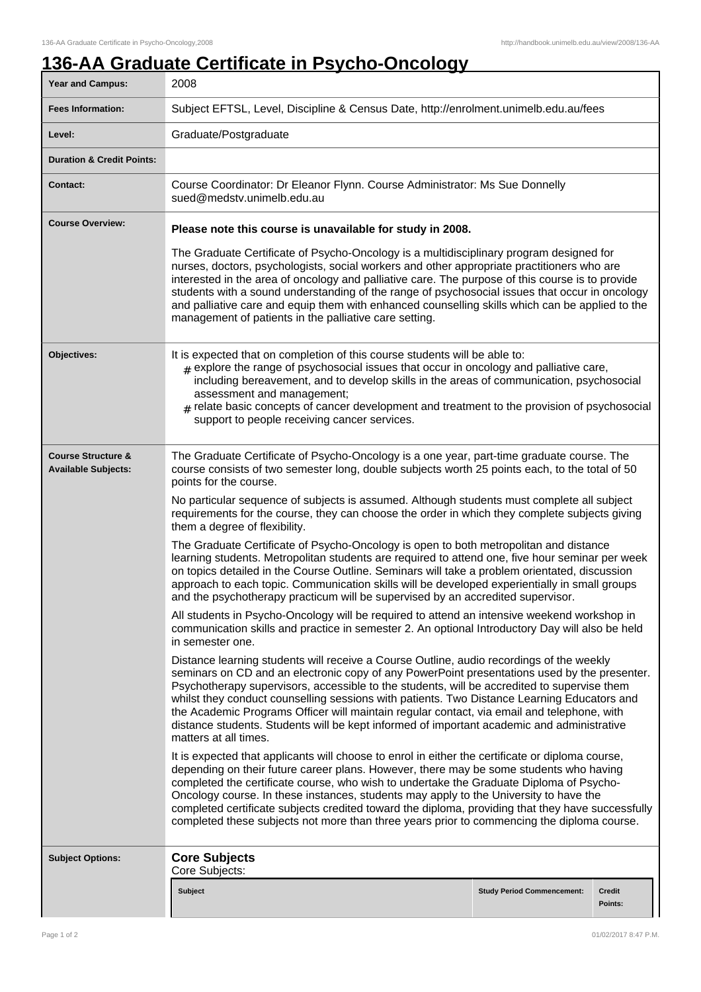## **136-AA Graduate Certificate in Psycho-Oncology**

| <b>Year and Campus:</b>                                     | 2008                                                                                                                                                                                                                                                                                                                                                                                                                                                                                                                                                                                                        |                                   |                   |  |
|-------------------------------------------------------------|-------------------------------------------------------------------------------------------------------------------------------------------------------------------------------------------------------------------------------------------------------------------------------------------------------------------------------------------------------------------------------------------------------------------------------------------------------------------------------------------------------------------------------------------------------------------------------------------------------------|-----------------------------------|-------------------|--|
| <b>Fees Information:</b>                                    | Subject EFTSL, Level, Discipline & Census Date, http://enrolment.unimelb.edu.au/fees                                                                                                                                                                                                                                                                                                                                                                                                                                                                                                                        |                                   |                   |  |
| Level:                                                      | Graduate/Postgraduate                                                                                                                                                                                                                                                                                                                                                                                                                                                                                                                                                                                       |                                   |                   |  |
| <b>Duration &amp; Credit Points:</b>                        |                                                                                                                                                                                                                                                                                                                                                                                                                                                                                                                                                                                                             |                                   |                   |  |
| <b>Contact:</b>                                             | Course Coordinator: Dr Eleanor Flynn. Course Administrator: Ms Sue Donnelly<br>sued@medstv.unimelb.edu.au                                                                                                                                                                                                                                                                                                                                                                                                                                                                                                   |                                   |                   |  |
| <b>Course Overview:</b>                                     | Please note this course is unavailable for study in 2008.                                                                                                                                                                                                                                                                                                                                                                                                                                                                                                                                                   |                                   |                   |  |
|                                                             | The Graduate Certificate of Psycho-Oncology is a multidisciplinary program designed for<br>nurses, doctors, psychologists, social workers and other appropriate practitioners who are<br>interested in the area of oncology and palliative care. The purpose of this course is to provide<br>students with a sound understanding of the range of psychosocial issues that occur in oncology<br>and palliative care and equip them with enhanced counselling skills which can be applied to the<br>management of patients in the palliative care setting.                                                    |                                   |                   |  |
| Objectives:                                                 | It is expected that on completion of this course students will be able to:<br>$#$ explore the range of psychosocial issues that occur in oncology and palliative care,<br>including bereavement, and to develop skills in the areas of communication, psychosocial<br>assessment and management;<br>relate basic concepts of cancer development and treatment to the provision of psychosocial<br>support to people receiving cancer services.                                                                                                                                                              |                                   |                   |  |
| <b>Course Structure &amp;</b><br><b>Available Subjects:</b> | The Graduate Certificate of Psycho-Oncology is a one year, part-time graduate course. The<br>course consists of two semester long, double subjects worth 25 points each, to the total of 50<br>points for the course.                                                                                                                                                                                                                                                                                                                                                                                       |                                   |                   |  |
|                                                             | No particular sequence of subjects is assumed. Although students must complete all subject<br>requirements for the course, they can choose the order in which they complete subjects giving<br>them a degree of flexibility.                                                                                                                                                                                                                                                                                                                                                                                |                                   |                   |  |
|                                                             | The Graduate Certificate of Psycho-Oncology is open to both metropolitan and distance<br>learning students. Metropolitan students are required to attend one, five hour seminar per week<br>on topics detailed in the Course Outline. Seminars will take a problem orientated, discussion<br>approach to each topic. Communication skills will be developed experientially in small groups<br>and the psychotherapy practicum will be supervised by an accredited supervisor.                                                                                                                               |                                   |                   |  |
|                                                             | All students in Psycho-Oncology will be required to attend an intensive weekend workshop in<br>communication skills and practice in semester 2. An optional Introductory Day will also be held<br>in semester one.                                                                                                                                                                                                                                                                                                                                                                                          |                                   |                   |  |
|                                                             | Distance learning students will receive a Course Outline, audio recordings of the weekly<br>seminars on CD and an electronic copy of any PowerPoint presentations used by the presenter.<br>Psychotherapy supervisors, accessible to the students, will be accredited to supervise them<br>whilst they conduct counselling sessions with patients. Two Distance Learning Educators and<br>the Academic Programs Officer will maintain regular contact, via email and telephone, with<br>distance students. Students will be kept informed of important academic and administrative<br>matters at all times. |                                   |                   |  |
|                                                             | It is expected that applicants will choose to enrol in either the certificate or diploma course,<br>depending on their future career plans. However, there may be some students who having<br>completed the certificate course, who wish to undertake the Graduate Diploma of Psycho-<br>Oncology course. In these instances, students may apply to the University to have the<br>completed certificate subjects credited toward the diploma, providing that they have successfully<br>completed these subjects not more than three years prior to commencing the diploma course.                           |                                   |                   |  |
| <b>Subject Options:</b>                                     | <b>Core Subjects</b><br>Core Subjects:                                                                                                                                                                                                                                                                                                                                                                                                                                                                                                                                                                      |                                   |                   |  |
|                                                             | <b>Subject</b>                                                                                                                                                                                                                                                                                                                                                                                                                                                                                                                                                                                              | <b>Study Period Commencement:</b> | Credit<br>Points: |  |